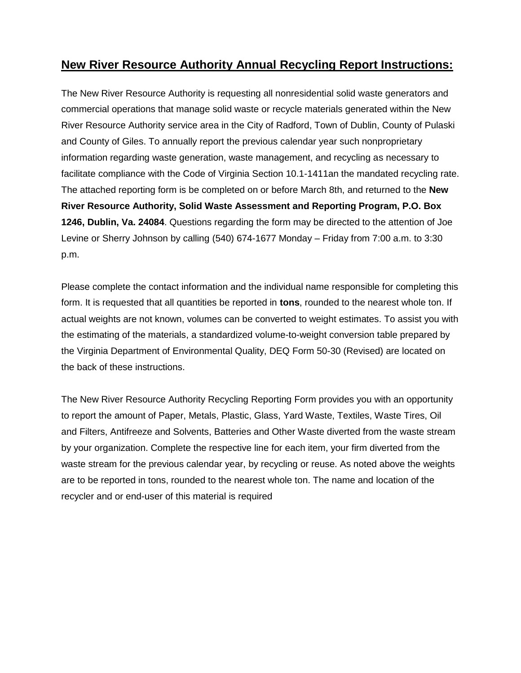# **New River Resource Authority Annual Recycling Report Instructions:**

The New River Resource Authority is requesting all nonresidential solid waste generators and commercial operations that manage solid waste or recycle materials generated within the New River Resource Authority service area in the City of Radford, Town of Dublin, County of Pulaski and County of Giles. To annually report the previous calendar year such nonproprietary information regarding waste generation, waste management, and recycling as necessary to facilitate compliance with the Code of Virginia Section 10.1-1411an the mandated recycling rate. The attached reporting form is be completed on or before March 8th, and returned to the **New River Resource Authority, Solid Waste Assessment and Reporting Program, P.O. Box 1246, Dublin, Va. 24084**. Questions regarding the form may be directed to the attention of Joe Levine or Sherry Johnson by calling (540) 674-1677 Monday – Friday from 7:00 a.m. to 3:30 p.m.

Please complete the contact information and the individual name responsible for completing this form. It is requested that all quantities be reported in **tons**, rounded to the nearest whole ton. If actual weights are not known, volumes can be converted to weight estimates. To assist you with the estimating of the materials, a standardized volume-to-weight conversion table prepared by the Virginia Department of Environmental Quality, DEQ Form 50-30 (Revised) are located on the back of these instructions.

The New River Resource Authority Recycling Reporting Form provides you with an opportunity to report the amount of Paper, Metals, Plastic, Glass, Yard Waste, Textiles, Waste Tires, Oil and Filters, Antifreeze and Solvents, Batteries and Other Waste diverted from the waste stream by your organization. Complete the respective line for each item, your firm diverted from the waste stream for the previous calendar year, by recycling or reuse. As noted above the weights are to be reported in tons, rounded to the nearest whole ton. The name and location of the recycler and or end-user of this material is required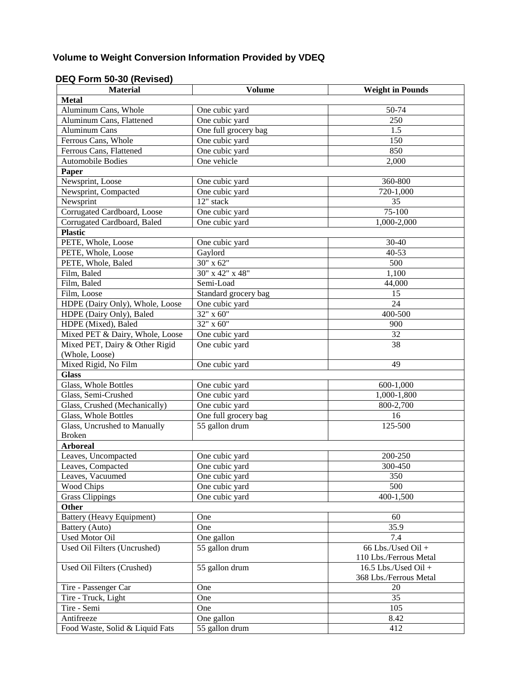# **Volume to Weight Conversion Information Provided by VDEQ**

### **DEQ Form 50-30 (Revised)**

| <b>Material</b>                  | <b>Volume</b>        | <b>Weight in Pounds</b>                      |
|----------------------------------|----------------------|----------------------------------------------|
| <b>Metal</b>                     |                      |                                              |
| Aluminum Cans, Whole             | One cubic yard       | 50-74                                        |
| Aluminum Cans, Flattened         | One cubic yard       | 250                                          |
| Aluminum Cans                    | One full grocery bag | 1.5                                          |
| Ferrous Cans, Whole              | One cubic yard       | 150                                          |
| Ferrous Cans, Flattened          | One cubic yard       | 850                                          |
| <b>Automobile Bodies</b>         | One vehicle          | 2,000                                        |
| Paper                            |                      |                                              |
| Newsprint, Loose                 | One cubic yard       | 360-800                                      |
| Newsprint, Compacted             | One cubic yard       | 720-1,000                                    |
| Newsprint                        | 12" stack            | 35                                           |
| Corrugated Cardboard, Loose      | One cubic yard       | 75-100                                       |
| Corrugated Cardboard, Baled      | One cubic yard       | 1,000-2,000                                  |
| <b>Plastic</b>                   |                      |                                              |
| PETE, Whole, Loose               | One cubic yard       | 30-40                                        |
| PETE, Whole, Loose               | Gaylord              | $40 - 53$                                    |
| PETE, Whole, Baled               | 30" x 62"            | 500                                          |
| Film, Baled                      | 30" x 42" x 48"      | 1,100                                        |
| Film, Baled                      | Semi-Load            | 44,000                                       |
| Film, Loose                      | Standard grocery bag | 15                                           |
| HDPE (Dairy Only), Whole, Loose  | One cubic yard       | 24                                           |
| HDPE (Dairy Only), Baled         | 32" x 60"            | 400-500                                      |
| HDPE (Mixed), Baled              | 32" x 60"            | 900                                          |
| Mixed PET & Dairy, Whole, Loose  | One cubic yard       | 32                                           |
| Mixed PET, Dairy & Other Rigid   | One cubic yard       | 38                                           |
| (Whole, Loose)                   |                      |                                              |
| Mixed Rigid, No Film             | One cubic yard       | 49                                           |
| <b>Glass</b>                     |                      |                                              |
| Glass, Whole Bottles             | One cubic yard       | 600-1,000                                    |
| Glass, Semi-Crushed              | One cubic yard       | 1,000-1,800                                  |
| Glass, Crushed (Mechanically)    | One cubic yard       | 800-2,700                                    |
| Glass, Whole Bottles             | One full grocery bag | 16                                           |
| Glass, Uncrushed to Manually     | 55 gallon drum       | 125-500                                      |
| <b>Broken</b>                    |                      |                                              |
| <b>Arboreal</b>                  |                      |                                              |
| Leaves, Uncompacted              | One cubic yard       | 200-250                                      |
| Leaves, Compacted                | One cubic yard       | 300-450                                      |
| Leaves, Vacuumed                 | One cubic yard       | 350                                          |
| <b>Wood Chips</b>                | One cubic yard       | 500                                          |
| <b>Grass Clippings</b>           | One cubic yard       | 400-1,500                                    |
| <b>Other</b>                     |                      |                                              |
| <b>Battery (Heavy Equipment)</b> | One                  | 60                                           |
| Battery (Auto)                   | One                  | 35.9                                         |
| <b>Used Motor Oil</b>            | One gallon           | 7.4                                          |
| Used Oil Filters (Uncrushed)     | 55 gallon drum       | 66 Lbs./Used Oil +<br>110 Lbs./Ferrous Metal |
| Used Oil Filters (Crushed)       | 55 gallon drum       | $16.5$ Lbs./Used Oil +                       |
|                                  |                      | 368 Lbs./Ferrous Metal                       |
| Tire - Passenger Car             | One                  | 20                                           |
| Tire - Truck, Light              | One                  | 35                                           |
| Tire - Semi                      | One                  | 105                                          |
| Antifreeze                       | One gallon           | 8.42                                         |
| Food Waste, Solid & Liquid Fats  | 55 gallon drum       | 412                                          |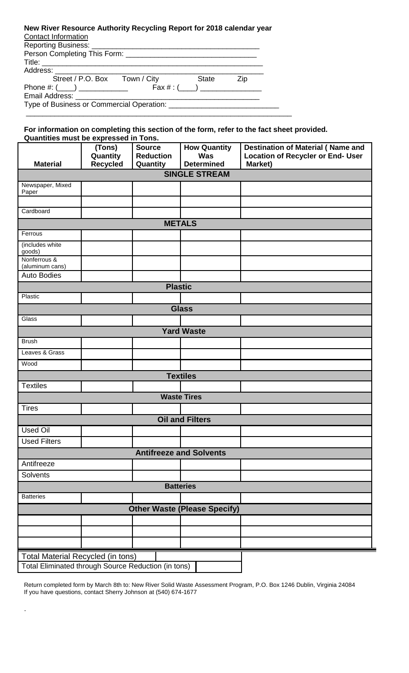### **New River Resource Authority Recycling Report for 2018 calendar year**  Contact Information

| Reporting Business: Network and Separation and Separation and Separation and Separation and Separation and Separation and Separation and Separation and Separation and Separation and Separation and Separation and Separation |                               |          |     |  |  |
|--------------------------------------------------------------------------------------------------------------------------------------------------------------------------------------------------------------------------------|-------------------------------|----------|-----|--|--|
|                                                                                                                                                                                                                                |                               |          |     |  |  |
|                                                                                                                                                                                                                                |                               |          |     |  |  |
|                                                                                                                                                                                                                                | Street / P.O. Box Town / City | State    | Zip |  |  |
| Phone #: $(\_\_)$ _____________                                                                                                                                                                                                |                               | Fax #: ( |     |  |  |
|                                                                                                                                                                                                                                |                               |          |     |  |  |
|                                                                                                                                                                                                                                |                               |          |     |  |  |
|                                                                                                                                                                                                                                |                               |          |     |  |  |

#### **For information on completing this section of the form, refer to the fact sheet provided. Quantities must be expressed in Tons.**

|                                                     | (Tons)<br>Quantity | <b>Source</b><br><b>Reduction</b> | <b>How Quantity</b><br><b>Was</b>   | <b>Destination of Material (Name and</b><br><b>Location of Recycler or End- User</b> |  |  |  |
|-----------------------------------------------------|--------------------|-----------------------------------|-------------------------------------|--------------------------------------------------------------------------------------|--|--|--|
| <b>Material</b>                                     | <b>Recycled</b>    | Quantity                          | <b>Determined</b>                   | Market)                                                                              |  |  |  |
| <b>SINGLE STREAM</b>                                |                    |                                   |                                     |                                                                                      |  |  |  |
| Newspaper, Mixed                                    |                    |                                   |                                     |                                                                                      |  |  |  |
| Paper                                               |                    |                                   |                                     |                                                                                      |  |  |  |
| Cardboard                                           |                    |                                   |                                     |                                                                                      |  |  |  |
| <b>METALS</b>                                       |                    |                                   |                                     |                                                                                      |  |  |  |
| Ferrous                                             |                    |                                   |                                     |                                                                                      |  |  |  |
| (includes white                                     |                    |                                   |                                     |                                                                                      |  |  |  |
| goods)                                              |                    |                                   |                                     |                                                                                      |  |  |  |
| Nonferrous &<br>(aluminum cans)                     |                    |                                   |                                     |                                                                                      |  |  |  |
| <b>Auto Bodies</b>                                  |                    |                                   |                                     |                                                                                      |  |  |  |
| <b>Plastic</b>                                      |                    |                                   |                                     |                                                                                      |  |  |  |
| Plastic                                             |                    |                                   |                                     |                                                                                      |  |  |  |
|                                                     |                    |                                   | <b>Glass</b>                        |                                                                                      |  |  |  |
| Glass                                               |                    |                                   |                                     |                                                                                      |  |  |  |
|                                                     |                    |                                   | <b>Yard Waste</b>                   |                                                                                      |  |  |  |
| <b>Brush</b>                                        |                    |                                   |                                     |                                                                                      |  |  |  |
| Leaves & Grass                                      |                    |                                   |                                     |                                                                                      |  |  |  |
| Wood                                                |                    |                                   |                                     |                                                                                      |  |  |  |
|                                                     |                    |                                   | <b>Textiles</b>                     |                                                                                      |  |  |  |
| <b>Textiles</b>                                     |                    |                                   |                                     |                                                                                      |  |  |  |
|                                                     |                    |                                   | <b>Waste Tires</b>                  |                                                                                      |  |  |  |
| <b>Tires</b>                                        |                    |                                   |                                     |                                                                                      |  |  |  |
|                                                     |                    |                                   | <b>Oil and Filters</b>              |                                                                                      |  |  |  |
| <b>Used Oil</b>                                     |                    |                                   |                                     |                                                                                      |  |  |  |
| <b>Used Filters</b>                                 |                    |                                   |                                     |                                                                                      |  |  |  |
| <b>Antifreeze and Solvents</b>                      |                    |                                   |                                     |                                                                                      |  |  |  |
| Antifreeze                                          |                    |                                   |                                     |                                                                                      |  |  |  |
| Solvents                                            |                    |                                   |                                     |                                                                                      |  |  |  |
| <b>Batteries</b>                                    |                    |                                   |                                     |                                                                                      |  |  |  |
| <b>Batteries</b>                                    |                    |                                   |                                     |                                                                                      |  |  |  |
|                                                     |                    |                                   | <b>Other Waste (Please Specify)</b> |                                                                                      |  |  |  |
|                                                     |                    |                                   |                                     |                                                                                      |  |  |  |
|                                                     |                    |                                   |                                     |                                                                                      |  |  |  |
|                                                     |                    |                                   |                                     |                                                                                      |  |  |  |
| <b>Total Material Recycled (in tons)</b>            |                    |                                   |                                     |                                                                                      |  |  |  |
| Total Eliminated through Source Reduction (in tons) |                    |                                   |                                     |                                                                                      |  |  |  |

Return completed form by March 8th to: New River Solid Waste Assessment Program, P.O. Box 1246 Dublin, Virginia 24084 If you have questions, contact Sherry Johnson at (540) 674-1677

.